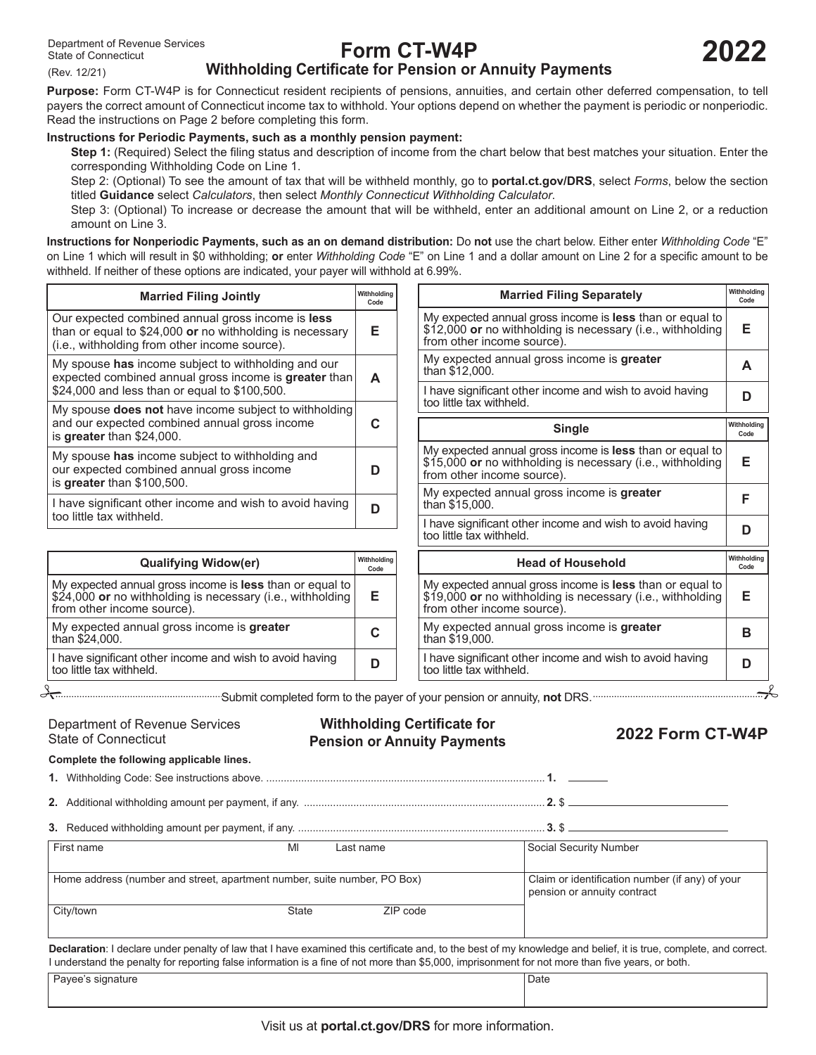(Rev. 12/21)

# **Form CT-W4P**

# **Withholding Certificate for Pension or Annuity Payments**

**Purpose:** Form CT‑W4P is for Connecticut resident recipients of pensions, annuities, and certain other deferred compensation, to tell payers the correct amount of Connecticut income tax to withhold. Your options depend on whether the payment is periodic or nonperiodic. Read the instructions on Page 2 before completing this form.

#### **Instructions for Periodic Payments, such as a monthly pension payment:**

**Step 1:** (Required) Select the filing status and description of income from the chart below that best matches your situation. Enter the corresponding Withholding Code on Line 1.

Step 2: (Optional) To see the amount of tax that will be withheld monthly, go to **[portal.ct.gov/DRS](https://portal.ct.gov/DRS)**, select *Forms*, below the section titled **Guidance** select *Calculators*, then select *Monthly Connecticut Withholding Calculator*.

Step 3: (Optional) To increase or decrease the amount that will be withheld, enter an additional amount on Line 2, or a reduction amount on Line 3.

**Instructions for Nonperiodic Payments, such as an on demand distribution:** Do **not** use the chart below. Either enter *Withholding Code* "E" on Line 1 which will result in \$0 withholding; **or** enter *Withholding Code* "E" on Line 1 and a dollar amount on Line 2 for a specific amount to be withheld. If neither of these options are indicated, your payer will withhold at 6.99%.

| <b>Married Filing Jointly</b>                                                                                                                                          | Withholdina<br>Code |
|------------------------------------------------------------------------------------------------------------------------------------------------------------------------|---------------------|
| Our expected combined annual gross income is <b>less</b><br>than or equal to $$24,000$ or no withholding is necessary<br>(i.e., withholding from other income source). | F                   |
| My spouse has income subject to withholding and our<br>expected combined annual gross income is greater than<br>\$24,000 and less than or equal to \$100,500.          | A                   |
| My spouse <b>does not</b> have income subject to withholding<br>and our expected combined annual gross income<br>is greater than \$24,000.                             |                     |
| My spouse has income subject to withholding and<br>our expected combined annual gross income<br>is greater than \$100,500.                                             |                     |
| I have significant other income and wish to avoid having<br>too little tax withheld.                                                                                   |                     |

| <b>Qualifying Widow(er)</b>                                                                                                                          | Withholding<br>Code |
|------------------------------------------------------------------------------------------------------------------------------------------------------|---------------------|
| My expected annual gross income is less than or equal to<br>\$24,000 or no withholding is necessary (i.e., withholding<br>from other income source). | Е                   |
| My expected annual gross income is greater<br>than \$24,000.                                                                                         | C                   |
| I have significant other income and wish to avoid having<br>too little tax withheld.                                                                 | D                   |

My expected annual gross income is **less** than or equal to \$12,000 **or** no withholding is necessary (i.e., withholding **E** from other income source). My expected annual gross income is **greater <sup>A</sup>** than \$12,000. I have significant other income and wish to avoid having **<sup>D</sup>** too little tax withheld. **Married Filing Separately Withholding Code** My expected annual gross income is **less** than or equal to \$15,000 **or** no withholding is necessary (i.e., withholding **E** from other income source). My expected annual gross income is **greater <sup>F</sup>** than \$15,000. I have significant other income and wish to avoid having **<sup>D</sup>** too little tax withheld. **Single Withholding Withholding Code** My expected annual gross income is **less** than or equal to \$19,000 **or** no withholding is necessary (i.e., withholding **E** from other income source). My expected annual gross income is **greater <sup>B</sup>** than \$19,000. **Head of Household Withholding Code Code**

I have significant other income and wish to avoid having **<sup>D</sup>** too little tax withheld.

Submit completed form to the payer of your pension or annuity, **not** DRS.

State of Connecticut

**Withholding Certificate for** Department of Revenue Services **Withholding Certificate for 2022 Form CT-W4P**<br>State of Connecticut P**ension or Annuity Payments 2022 Form CT-W4P** 

**Complete the following applicable lines.**

**1.** Withholding Code: See instructions above. ................................................................................................ **1.**

**2.** Additional withholding amount per payment, if any. ................................................................................... **2.** \$

|--|--|--|

| First name                                                               | MI<br>Last name |          | Social Security Number                                                         |
|--------------------------------------------------------------------------|-----------------|----------|--------------------------------------------------------------------------------|
| Home address (number and street, apartment number, suite number, PO Box) |                 |          | Claim or identification number (if any) of your<br>pension or annuity contract |
| <sup>1</sup> City/town                                                   | State           | ZIP code |                                                                                |

**Declaration**: I declare under penalty of law that I have examined this certificate and, to the best of my knowledge and belief, it is true, complete, and correct. I understand the penalty for reporting false information is a fine of not more than \$5,000, imprisonment for not more than five years, or both.

| Pavee's signature | Date |
|-------------------|------|
|-------------------|------|